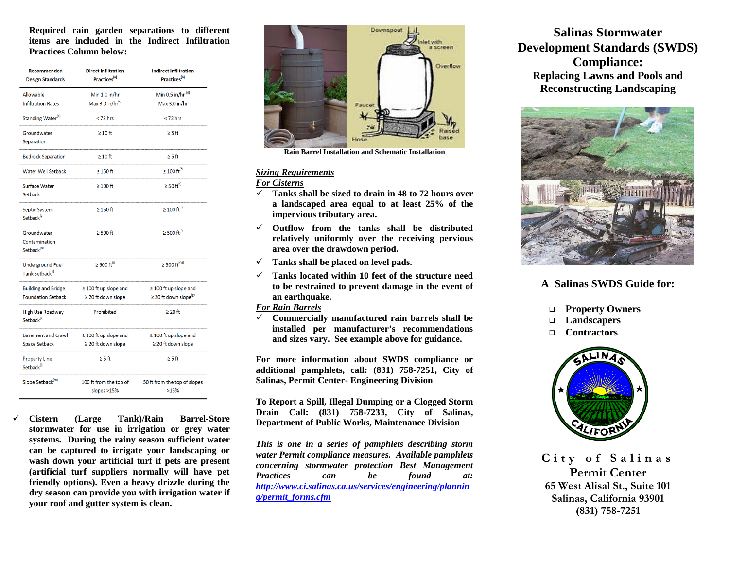**Required rain garden separations to different items are included in the Indirect Infiltration Practices Column below:**

| Recommended<br><b>Design Standards</b>                 | <b>Direct Infiltration</b><br>Practices <sup>(a)</sup> | <b>Indirect Infiltration</b><br>Practices <sup>(b)</sup> |
|--------------------------------------------------------|--------------------------------------------------------|----------------------------------------------------------|
| Allowable                                              | Min 1.0 in/hr                                          | Min 0.5 in/hr $(d)$                                      |
| <b>Infiltration Rates</b>                              | Max 3.0 in/hr $(c)$                                    | Max 3.0 in/hr                                            |
| Standing Water <sup>(e)</sup>                          | $<$ 72 hrs                                             | $<$ 72 hrs                                               |
| Groundwater<br>Separation                              | $\geq 10$ ft                                           | $\geq$ 5 ft                                              |
| <b>Bedrock Separation</b>                              | $\geq 10$ ft                                           | $\geq$ 5 ft                                              |
| Water Well Setback                                     | $\geq$ 150 ft                                          | $\geq 100 \text{ ft}^{(f)}$                              |
| Surface Water<br>Setback                               | $\geq 100$ ft                                          | $\geq$ 50 ft <sup>(f)</sup>                              |
| Septic System<br>Setback <sup>(g)</sup>                | $\geq$ 150 ft                                          | $\geq 100 \text{ ft}^{(f)}$                              |
| Groundwater<br>Contamination<br>Setback <sup>(h)</sup> | $\geq$ 500 ft                                          | $\geq$ 500 ft <sup>(f)</sup>                             |
| Underground Fuel<br>Tank Setback <sup>(i)</sup>        | $\geq 500$ ft $^{(j)}$                                 | ≥ 500 $ft^{(f)(j)}$                                      |
| <b>Building and Bridge</b>                             | $\geq$ 100 ft up slope and                             | $\geq 100$ ft up slope and                               |
| <b>Foundation Setback</b>                              | $\geq$ 20 ft down slope                                | $\geq$ 20 ft down slope <sup>(g)</sup>                   |
| High Use Roadway<br>Setback <sup>(k)</sup>             | Prohibited                                             | $\geq 20$ ft                                             |
| <b>Basement and Crawl</b>                              | $\geq$ 100 ft up slope and                             | $\geq$ 100 ft up slope and                               |
| Space Setback                                          | $\geq$ 20 ft down slope                                | ≥ 20 ft down slope                                       |
| <b>Property Line</b><br>Setback <sup>(1)</sup>         | $\geq$ 5 ft                                            | $\geq$ 5 ft                                              |
| Slope Setback <sup>(m)</sup>                           | 100 ft from the top of<br>slopes >15%                  | 50 ft from the top of slopes<br>>15%                     |

 **Cistern (Large Tank)/Rain Barrel-Store stormwater for use in irrigation or grey water systems. During the rainy season sufficient water can be captured to irrigate your landscaping or wash down your artificial turf if pets are present (artificial turf suppliers normally will have pet friendly options). Even a heavy drizzle during the dry season can provide you with irrigation water if your roof and gutter system is clean.**



**Rain Barrel Installation and Schematic Installation**

## *Sizing Requirements*

## *For Cisterns*

- **Tanks shall be sized to drain in 48 to 72 hours over a landscaped area equal to at least 25% of the impervious tributary area.**
- **Outflow from the tanks shall be distributed relatively uniformly over the receiving pervious area over the drawdown period.**
- **Tanks shall be placed on level pads.**
- **Tanks located within 10 feet of the structure need to be restrained to prevent damage in the event of an earthquake.**

## *For Rain Barrels*

 **Commercially manufactured rain barrels shall be installed per manufacturer's recommendations and sizes vary. See example above for guidance.**

**For more information about SWDS compliance or additional pamphlets, call: (831) 758-7251, City of Salinas, Permit Center- Engineering Division**

**To Report a Spill, Illegal Dumping or a Clogged Storm Drain Call: (831) 758-7233, City of Salinas, Department of Public Works, Maintenance Division**

*This is one in a series of pamphlets describing storm water Permit compliance measures. Available pamphlets concerning stormwater protection Best Management Practices can be found at: [http://www.ci.salinas.ca.us/services/engineering/plannin](http://www.ci.salinas.ca.us/services/engineering/planning/permit_forms.cfm) [g/permit\\_forms.cfm](http://www.ci.salinas.ca.us/services/engineering/planning/permit_forms.cfm)*

**Salinas Stormwater Development Standards (SWDS) Compliance: Replacing Lawns and Pools and Reconstructing Landscaping**



# **A Salinas SWDS Guide for:**

- **Property Owners**
- **Landscapers**
- **Contractors**



**City of Salinas Permit Center 65 West Alisal St., Suite 101 Salinas, California 93901 (831) 758-7251**